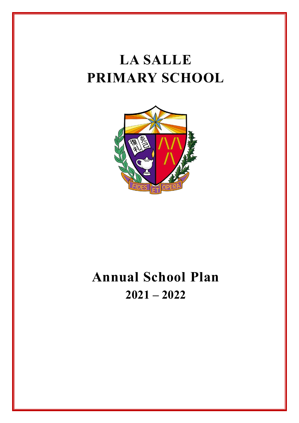# **LA SALLE PRIMARY SCHOOL**



## **Annual School Plan 2021 – 2022**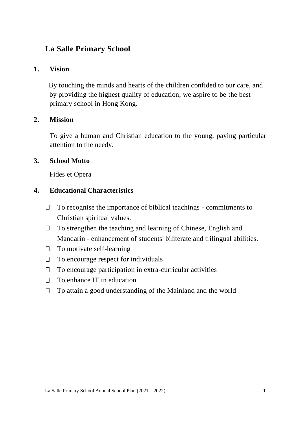### **La Salle Primary School**

#### **1. Vision**

By touching the minds and hearts of the children confided to our care, and by providing the highest quality of education, we aspire to be the best primary school in Hong Kong.

#### **2. Mission**

To give a human and Christian education to the young, paying particular attention to the needy.

#### **3. School Motto**

Fides et Opera

#### **4. Educational Characteristics**

- $\Box$ To recognise the importance of biblical teachings - commitments to Christian spiritual values.
- To strengthen the teaching and learning of Chinese, English and  $\Box$ Mandarin - enhancement of students' biliterate and trilingual abilities.
- To motivate self-learning  $\Box$
- To encourage respect for individuals  $\Box$
- To encourage participation in extra-curricular activities  $\Box$
- To enhance IT in education  $\Box$
- $\Box$ To attain a good understanding of the Mainland and the world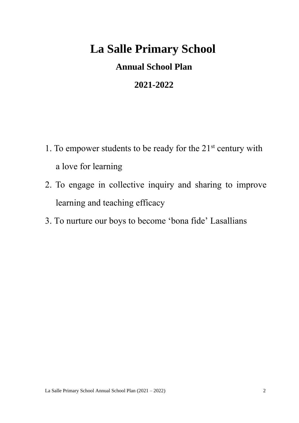## **La Salle Primary School**

## **Annual School Plan**

## **2021-2022**

- 1. To empower students to be ready for the  $21<sup>st</sup>$  century with a love for learning
- 2. To engage in collective inquiry and sharing to improve learning and teaching efficacy
- 3. To nurture our boys to become 'bona fide' Lasallians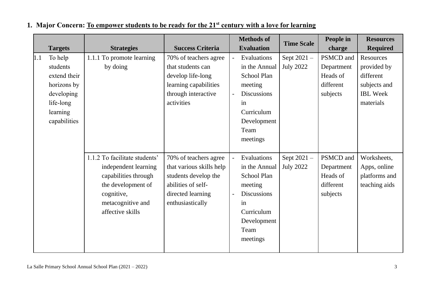|     |                |                               |                          |                | <b>Methods of</b>  | <b>Time Scale</b> | People in  | <b>Resources</b> |
|-----|----------------|-------------------------------|--------------------------|----------------|--------------------|-------------------|------------|------------------|
|     | <b>Targets</b> | <b>Strategies</b>             | <b>Success Criteria</b>  |                | <b>Evaluation</b>  |                   | charge     | <b>Required</b>  |
| 1.1 | To help        | 1.1.1 To promote learning     | 70% of teachers agree    | $\overline{a}$ | Evaluations        | Sept $2021 -$     | PSMCD and  | Resources        |
|     | students       | by doing                      | that students can        |                | in the Annual      | <b>July 2022</b>  | Department | provided by      |
|     | extend their   |                               | develop life-long        |                | School Plan        |                   | Heads of   | different        |
|     | horizons by    |                               | learning capabilities    |                | meeting            |                   | different  | subjects and     |
|     | developing     |                               | through interactive      |                | <b>Discussions</b> |                   | subjects   | <b>IBL</b> Week  |
|     | life-long      |                               | activities               |                | in                 |                   |            | materials        |
|     | learning       |                               |                          |                | Curriculum         |                   |            |                  |
|     | capabilities   |                               |                          |                | Development        |                   |            |                  |
|     |                |                               |                          |                | Team               |                   |            |                  |
|     |                |                               |                          |                | meetings           |                   |            |                  |
|     |                |                               |                          |                |                    |                   |            |                  |
|     |                | 1.1.2 To facilitate students' | 70% of teachers agree    |                | Evaluations        | Sept 2021-        | PSMCD and  | Worksheets,      |
|     |                | independent learning          | that various skills help |                | in the Annual      | <b>July 2022</b>  | Department | Apps, online     |
|     |                | capabilities through          | students develop the     |                | School Plan        |                   | Heads of   | platforms and    |
|     |                | the development of            | abilities of self-       |                | meeting            |                   | different  | teaching aids    |
|     |                | cognitive,                    | directed learning        |                | <b>Discussions</b> |                   | subjects   |                  |
|     |                | metacognitive and             | enthusiastically         |                | in                 |                   |            |                  |
|     |                | affective skills              |                          |                | Curriculum         |                   |            |                  |
|     |                |                               |                          |                | Development        |                   |            |                  |
|     |                |                               |                          |                | Team               |                   |            |                  |
|     |                |                               |                          |                | meetings           |                   |            |                  |
|     |                |                               |                          |                |                    |                   |            |                  |

### **1. Major Concern: To empower students to be ready for the 21st century with a love for learning**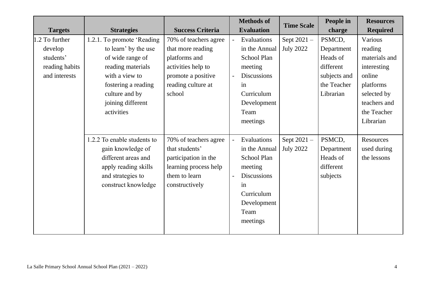|                |                             |                         |                | <b>Methods of</b>  | <b>Time Scale</b> | People in    | <b>Resources</b> |
|----------------|-----------------------------|-------------------------|----------------|--------------------|-------------------|--------------|------------------|
| <b>Targets</b> | <b>Strategies</b>           | <b>Success Criteria</b> |                | <b>Evaluation</b>  |                   | charge       | <b>Required</b>  |
| 1.2 To further | 1.2.1. To promote 'Reading  | 70% of teachers agree   | $\sim$         | Evaluations        | Sept 2021-        | PSMCD,       | Various          |
| develop        | to learn' by the use        | that more reading       |                | in the Annual      | <b>July 2022</b>  | Department   | reading          |
| students'      | of wide range of            | platforms and           |                | <b>School Plan</b> |                   | Heads of     | materials and    |
| reading habits | reading materials           | activities help to      |                | meeting            |                   | different    | interesting      |
| and interests  | with a view to              | promote a positive      |                | <b>Discussions</b> |                   | subjects and | online           |
|                | fostering a reading         | reading culture at      |                | in                 |                   | the Teacher  | platforms        |
|                | culture and by              | school                  |                | Curriculum         |                   | Librarian    | selected by      |
|                | joining different           |                         |                | Development        |                   |              | teachers and     |
|                | activities                  |                         |                | Team               |                   |              | the Teacher      |
|                |                             |                         |                | meetings           |                   |              | Librarian        |
|                |                             |                         |                |                    |                   |              |                  |
|                | 1.2.2 To enable students to | 70% of teachers agree   | $\blacksquare$ | Evaluations        | Sept 2021-        | PSMCD,       | Resources        |
|                | gain knowledge of           | that students'          |                | in the Annual      | <b>July 2022</b>  | Department   | used during      |
|                | different areas and         | participation in the    |                | <b>School Plan</b> |                   | Heads of     | the lessons      |
|                | apply reading skills        | learning process help   |                | meeting            |                   | different    |                  |
|                | and strategies to           | them to learn           |                | <b>Discussions</b> |                   | subjects     |                  |
|                | construct knowledge         | constructively          |                | in                 |                   |              |                  |
|                |                             |                         |                | Curriculum         |                   |              |                  |
|                |                             |                         |                | Development        |                   |              |                  |
|                |                             |                         |                | Team               |                   |              |                  |
|                |                             |                         |                | meetings           |                   |              |                  |
|                |                             |                         |                |                    |                   |              |                  |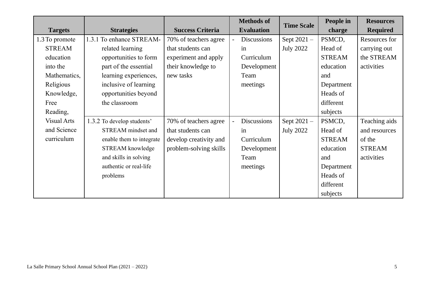|                    |                            |                         |                          | <b>Methods of</b>  | <b>Time Scale</b> | People in     | <b>Resources</b> |
|--------------------|----------------------------|-------------------------|--------------------------|--------------------|-------------------|---------------|------------------|
| <b>Targets</b>     | <b>Strategies</b>          | <b>Success Criteria</b> |                          | <b>Evaluation</b>  |                   | charge        | <b>Required</b>  |
| 1.3 To promote     | 1.3.1 To enhance STREAM-   | 70% of teachers agree   | $\equiv$                 | <b>Discussions</b> | Sept 2021-        | PSMCD,        | Resources for    |
| <b>STREAM</b>      | related learning           | that students can       |                          | in                 | <b>July 2022</b>  | Head of       | carrying out     |
| education          | opportunities to form      | experiment and apply    |                          | Curriculum         |                   | <b>STREAM</b> | the STREAM       |
| into the           | part of the essential      | their knowledge to      |                          | Development        |                   | education     | activities       |
| Mathematics,       | learning experiences,      | new tasks               |                          | Team               |                   | and           |                  |
| Religious          | inclusive of learning      |                         |                          | meetings           |                   | Department    |                  |
| Knowledge,         | opportunities beyond       |                         |                          |                    |                   | Heads of      |                  |
| Free               | the classroom              |                         |                          |                    |                   | different     |                  |
| Reading,           |                            |                         |                          |                    |                   | subjects      |                  |
| <b>Visual Arts</b> | 1.3.2 To develop students' | 70% of teachers agree   | $\overline{\phantom{a}}$ | <b>Discussions</b> | Sept 2021-        | PSMCD,        | Teaching aids    |
| and Science        | STREAM mindset and         | that students can       |                          | in                 | <b>July 2022</b>  | Head of       | and resources    |
| curriculum         | enable them to integrate   | develop creativity and  |                          | Curriculum         |                   | <b>STREAM</b> | of the           |
|                    | STREAM knowledge           | problem-solving skills  |                          | Development        |                   | education     | <b>STREAM</b>    |
|                    | and skills in solving      |                         |                          | Team               |                   | and           | activities       |
|                    | authentic or real-life     |                         |                          | meetings           |                   | Department    |                  |
|                    | problems                   |                         |                          |                    |                   | Heads of      |                  |
|                    |                            |                         |                          |                    |                   | different     |                  |
|                    |                            |                         |                          |                    |                   | subjects      |                  |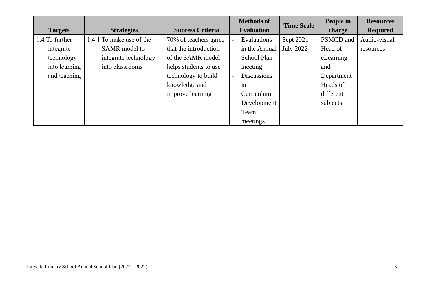|                |                          |                         |                          | <b>Methods of</b>  | <b>Time Scale</b> | People in  | <b>Resources</b> |
|----------------|--------------------------|-------------------------|--------------------------|--------------------|-------------------|------------|------------------|
| <b>Targets</b> | <b>Strategies</b>        | <b>Success Criteria</b> | <b>Evaluation</b>        |                    |                   | charge     | <b>Required</b>  |
| 1.4 To further | 1.4.1 To make use of the | 70% of teachers agree   | $\overline{\phantom{0}}$ | Evaluations        | Sept $2021 -$     | PSMCD and  | Audio-visual     |
| integrate      | SAMR model to            | that the introduction   |                          | in the Annual      | <b>July 2022</b>  | Head of    | resources        |
| technology     | integrate technology     | of the SAMR model       |                          | School Plan        |                   | eLearning  |                  |
| into learning  | into classrooms          | helps students to use   |                          | meeting            |                   | and        |                  |
| and teaching   |                          | technology to build     | $\blacksquare$           | <b>Discussions</b> |                   | Department |                  |
|                |                          | knowledge and           |                          | in                 |                   | Heads of   |                  |
|                |                          | improve learning        |                          | Curriculum         |                   | different  |                  |
|                |                          |                         |                          | Development        |                   | subjects   |                  |
|                |                          |                         |                          | Team               |                   |            |                  |
|                |                          |                         |                          | meetings           |                   |            |                  |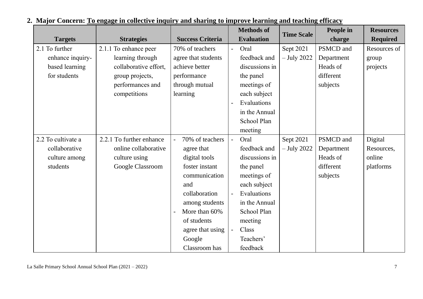|                    |                          |                                 |                  | <b>Methods of</b>  | <b>Time Scale</b> | People in  | <b>Resources</b> |
|--------------------|--------------------------|---------------------------------|------------------|--------------------|-------------------|------------|------------------|
| <b>Targets</b>     | <b>Strategies</b>        | <b>Success Criteria</b>         |                  | <b>Evaluation</b>  |                   | charge     | <b>Required</b>  |
| 2.1 To further     | 2.1.1 To enhance peer    | 70% of teachers                 | $\omega_{\rm c}$ | Oral               | Sept 2021         | PSMCD and  | Resources of     |
| enhance inquiry-   | learning through         | agree that students             |                  | feedback and       | $-$ July 2022     | Department | group            |
| based learning     | collaborative effort,    | achieve better                  |                  | discussions in     |                   | Heads of   | projects         |
| for students       | group projects,          | performance                     |                  | the panel          |                   | different  |                  |
|                    | performances and         | through mutual                  |                  | meetings of        |                   | subjects   |                  |
|                    | competitions             | learning                        |                  | each subject       |                   |            |                  |
|                    |                          |                                 |                  | Evaluations        |                   |            |                  |
|                    |                          |                                 |                  | in the Annual      |                   |            |                  |
|                    |                          |                                 |                  | School Plan        |                   |            |                  |
|                    |                          |                                 |                  | meeting            |                   |            |                  |
| 2.2 To cultivate a | 2.2.1 To further enhance | 70% of teachers                 | $\omega$         | Oral               | Sept 2021         | PSMCD and  | Digital          |
| collaborative      | online collaborative     | agree that                      |                  | feedback and       | $-$ July 2022     | Department | Resources,       |
| culture among      | culture using            | digital tools                   |                  | discussions in     |                   | Heads of   | online           |
| students           | Google Classroom         | foster instant                  |                  | the panel          |                   | different  | platforms        |
|                    |                          | communication                   |                  | meetings of        |                   | subjects   |                  |
|                    |                          | and                             |                  | each subject       |                   |            |                  |
|                    |                          | collaboration                   | $\omega$         | Evaluations        |                   |            |                  |
|                    |                          | among students                  |                  | in the Annual      |                   |            |                  |
|                    |                          | More than 60%<br>$\blacksquare$ |                  | <b>School Plan</b> |                   |            |                  |
|                    |                          | of students                     |                  | meeting            |                   |            |                  |
|                    |                          | agree that using                | $\blacksquare$   | Class              |                   |            |                  |
|                    |                          | Google                          |                  | Teachers'          |                   |            |                  |
|                    |                          | Classroom has                   |                  | feedback           |                   |            |                  |

## **2. Major Concern: To engage in collective inquiry and sharing to improve learning and teaching efficacy**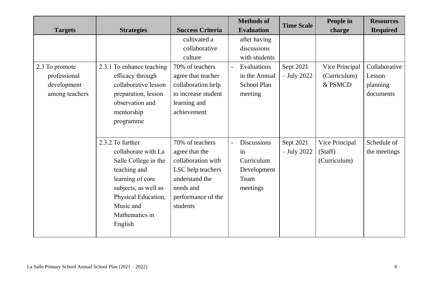|                |                           |                         | <b>Methods of</b>             | <b>Time Scale</b> | People in      | <b>Resources</b> |
|----------------|---------------------------|-------------------------|-------------------------------|-------------------|----------------|------------------|
| <b>Targets</b> | <b>Strategies</b>         | <b>Success Criteria</b> | <b>Evaluation</b>             |                   | charge         | <b>Required</b>  |
|                |                           | cultivated a            | after having                  |                   |                |                  |
|                |                           | collaborative           | discussions                   |                   |                |                  |
|                |                           | culture                 | with students                 |                   |                |                  |
| 2.3 To promote | 2.3.1 To enhance teaching | 70% of teachers         | Evaluations<br>$\blacksquare$ | Sept 2021         | Vice Principal | Collaborative    |
| professional   | efficacy through          | agree that teacher      | in the Annual                 | $-$ July 2022     | (Curriculum)   | Lesson           |
| development    | collaborative lesson      | collaboration help      | School Plan                   |                   | & PSMCD        | planning         |
| among teachers | preparation, lesson       | to increase student     | meeting                       |                   |                | documents        |
|                | observation and           | learning and            |                               |                   |                |                  |
|                | mentorship                | achievement             |                               |                   |                |                  |
|                | programme                 |                         |                               |                   |                |                  |
|                |                           |                         |                               |                   |                |                  |
|                | 2.3.2 To further          | 70% of teachers         | <b>Discussions</b>            | Sept 2021         | Vice Principal | Schedule of      |
|                | collaborate with La       | agree that the          | in                            | $-$ July 2022     | (Staff)        | the meetings     |
|                | Salle College in the      | collaboration with      | Curriculum                    |                   | (Curriculum)   |                  |
|                | teaching and              | LSC help teachers       | Development                   |                   |                |                  |
|                | learning of core          | understand the          | Team                          |                   |                |                  |
|                | subjects, as well as      | needs and               | meetings                      |                   |                |                  |
|                | Physical Education,       | performance of the      |                               |                   |                |                  |
|                | Music and                 | students                |                               |                   |                |                  |
|                | Mathematics in            |                         |                               |                   |                |                  |
|                | English                   |                         |                               |                   |                |                  |
|                |                           |                         |                               |                   |                |                  |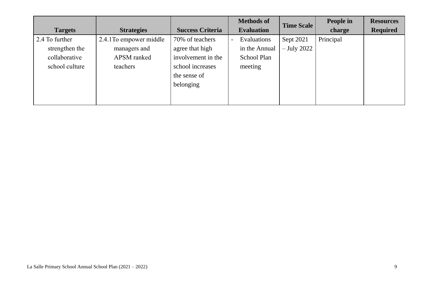|                |                         |                         | <b>Methods of</b>        |                   | <b>Time Scale</b> | People in | <b>Resources</b> |
|----------------|-------------------------|-------------------------|--------------------------|-------------------|-------------------|-----------|------------------|
| <b>Targets</b> | <b>Strategies</b>       | <b>Success Criteria</b> |                          | <b>Evaluation</b> |                   | charge    | <b>Required</b>  |
| 2.4 To further | 2.4.1 To empower middle | 70% of teachers         | $\overline{\phantom{0}}$ | Evaluations       | Sept 2021         | Principal |                  |
| strengthen the | managers and            | agree that high         |                          | in the Annual     | $-$ July 2022     |           |                  |
| collaborative  | APSM ranked             | involvement in the      |                          | School Plan       |                   |           |                  |
| school culture | teachers                | school increases        |                          | meeting           |                   |           |                  |
|                |                         | the sense of            |                          |                   |                   |           |                  |
|                |                         | belonging               |                          |                   |                   |           |                  |
|                |                         |                         |                          |                   |                   |           |                  |
|                |                         |                         |                          |                   |                   |           |                  |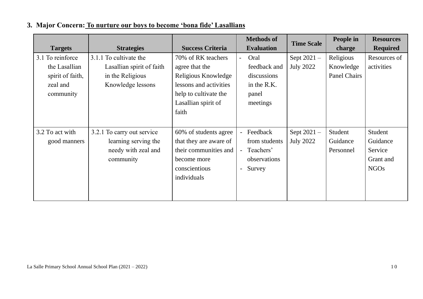|  |  | 3. Major Concern: To nurture our boys to become 'bona fide' Lasallians |
|--|--|------------------------------------------------------------------------|
|  |  |                                                                        |

|                  |                            |                         |                | <b>Methods of</b> | <b>Time Scale</b> | People in           | <b>Resources</b> |
|------------------|----------------------------|-------------------------|----------------|-------------------|-------------------|---------------------|------------------|
| <b>Targets</b>   | <b>Strategies</b>          | <b>Success Criteria</b> |                | <b>Evaluation</b> |                   | charge              | <b>Required</b>  |
| 3.1 To reinforce | 3.1.1 To cultivate the     | 70% of RK teachers      | $\blacksquare$ | Oral              | Sept $2021 -$     | Religious           | Resources of     |
| the Lasallian    | Lasallian spirit of faith  | agree that the          |                | feedback and      | <b>July 2022</b>  | Knowledge           | activities       |
| spirit of faith, | in the Religious           | Religious Knowledge     |                | discussions       |                   | <b>Panel Chairs</b> |                  |
| zeal and         | Knowledge lessons          | lessons and activities  |                | in the R.K.       |                   |                     |                  |
| community        |                            | help to cultivate the   |                | panel             |                   |                     |                  |
|                  |                            | Lasallian spirit of     |                | meetings          |                   |                     |                  |
|                  |                            | faith                   |                |                   |                   |                     |                  |
|                  |                            |                         |                |                   |                   |                     |                  |
| 3.2 To act with  | 3.2.1 To carry out service | 60% of students agree   | $\blacksquare$ | Feedback          | Sept $2021 -$     | Student             | Student          |
| good manners     | learning serving the       | that they are aware of  |                | from students     | <b>July 2022</b>  | Guidance            | Guidance         |
|                  | needy with zeal and        | their communities and   | $\blacksquare$ | Teachers'         |                   | Personnel           | Service          |
|                  | community                  | become more             |                | observations      |                   |                     | Grant and        |
|                  |                            | conscientious           | $\blacksquare$ | Survey            |                   |                     | <b>NGOs</b>      |
|                  |                            | individuals             |                |                   |                   |                     |                  |
|                  |                            |                         |                |                   |                   |                     |                  |
|                  |                            |                         |                |                   |                   |                     |                  |